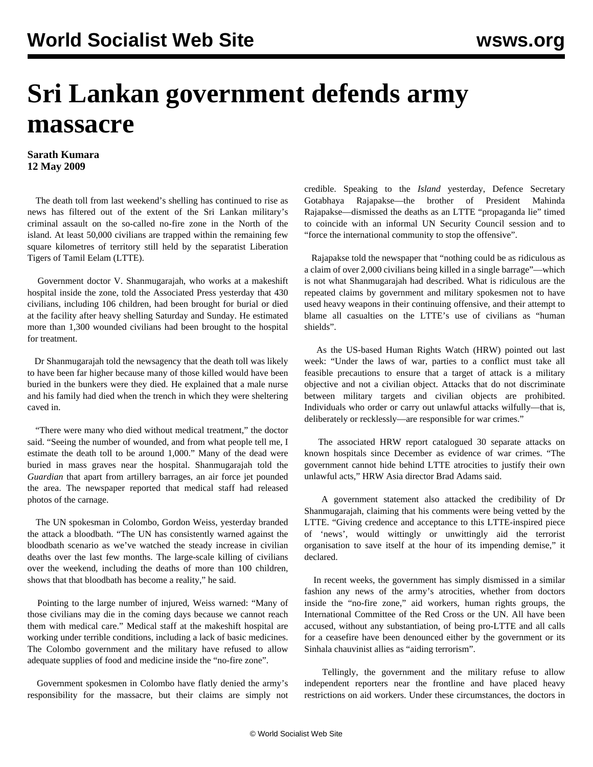## **Sri Lankan government defends army massacre**

## **Sarath Kumara 12 May 2009**

 The death toll from last weekend's shelling has continued to rise as news has filtered out of the extent of the Sri Lankan military's criminal assault on the so-called no-fire zone in the North of the island. At least 50,000 civilians are trapped within the remaining few square kilometres of territory still held by the separatist Liberation Tigers of Tamil Eelam (LTTE).

 Government doctor V. Shanmugarajah, who works at a makeshift hospital inside the zone, told the Associated Press yesterday that 430 civilians, including 106 children, had been brought for burial or died at the facility after heavy shelling Saturday and Sunday. He estimated more than 1,300 wounded civilians had been brought to the hospital for treatment.

 Dr Shanmugarajah told the newsagency that the death toll was likely to have been far higher because many of those killed would have been buried in the bunkers were they died. He explained that a male nurse and his family had died when the trench in which they were sheltering caved in.

 "There were many who died without medical treatment," the doctor said. "Seeing the number of wounded, and from what people tell me, I estimate the death toll to be around 1,000." Many of the dead were buried in mass graves near the hospital. Shanmugarajah told the *Guardian* that apart from artillery barrages, an air force jet pounded the area. The newspaper reported that medical staff had released photos of the carnage.

 The UN spokesman in Colombo, Gordon Weiss, yesterday branded the attack a bloodbath. "The UN has consistently warned against the bloodbath scenario as we've watched the steady increase in civilian deaths over the last few months. The large-scale killing of civilians over the weekend, including the deaths of more than 100 children, shows that that bloodbath has become a reality," he said.

 Pointing to the large number of injured, Weiss warned: "Many of those civilians may die in the coming days because we cannot reach them with medical care." Medical staff at the makeshift hospital are working under terrible conditions, including a lack of basic medicines. The Colombo government and the military have refused to allow adequate supplies of food and medicine inside the "no-fire zone".

 Government spokesmen in Colombo have flatly denied the army's responsibility for the massacre, but their claims are simply not credible. Speaking to the *Island* yesterday, Defence Secretary Gotabhaya Rajapakse—the brother of President Mahinda Rajapakse—dismissed the deaths as an LTTE "propaganda lie" timed to coincide with an informal UN Security Council session and to "force the international community to stop the offensive".

 Rajapakse told the newspaper that "nothing could be as ridiculous as a claim of over 2,000 civilians being killed in a single barrage"—which is not what Shanmugarajah had described. What is ridiculous are the repeated claims by government and military spokesmen not to have used heavy weapons in their continuing offensive, and their attempt to blame all casualties on the LTTE's use of civilians as "human shields".

 As the US-based Human Rights Watch (HRW) pointed out last week: "Under the laws of war, parties to a conflict must take all feasible precautions to ensure that a target of attack is a military objective and not a civilian object. Attacks that do not discriminate between military targets and civilian objects are prohibited. Individuals who order or carry out unlawful attacks wilfully—that is, deliberately or recklessly—are responsible for war crimes."

 The associated HRW report catalogued 30 separate attacks on known hospitals since December as evidence of war crimes. "The government cannot hide behind LTTE atrocities to justify their own unlawful acts," HRW Asia director Brad Adams said.

 A government statement also attacked the credibility of Dr Shanmugarajah, claiming that his comments were being vetted by the LTTE. "Giving credence and acceptance to this LTTE-inspired piece of 'news', would wittingly or unwittingly aid the terrorist organisation to save itself at the hour of its impending demise," it declared.

 In recent weeks, the government has simply dismissed in a similar fashion any news of the army's atrocities, whether from doctors inside the "no-fire zone," aid workers, human rights groups, the International Committee of the Red Cross or the UN. All have been accused, without any substantiation, of being pro-LTTE and all calls for a ceasefire have been denounced either by the government or its Sinhala chauvinist allies as "aiding terrorism".

 Tellingly, the government and the military refuse to allow independent reporters near the frontline and have placed heavy restrictions on aid workers. Under these circumstances, the doctors in